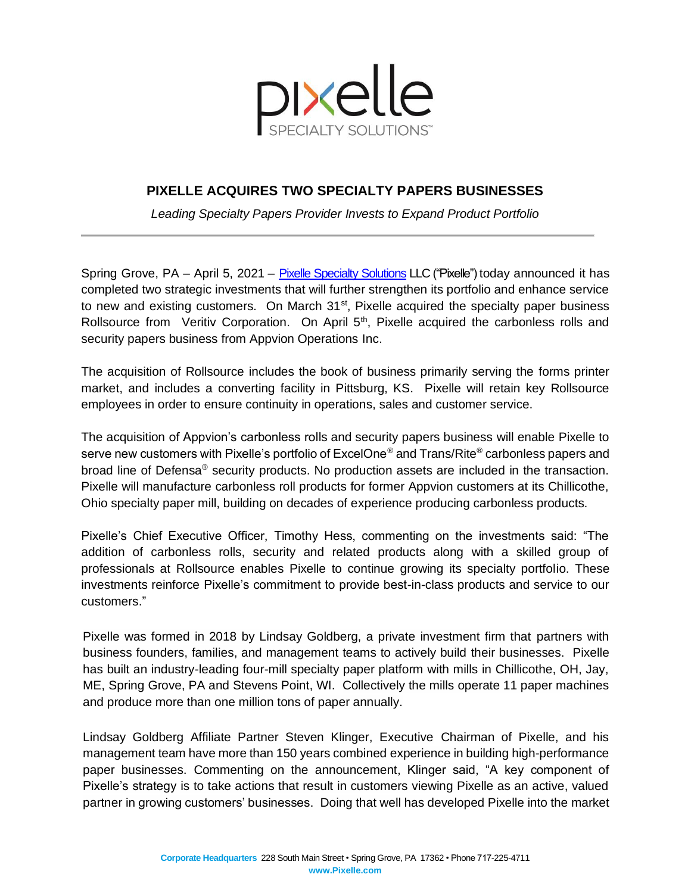

## **PIXELLE ACQUIRES TWO SPECIALTY PAPERS BUSINESSES**

*Leading Specialty Papers Provider Invests to Expand Product Portfolio*

Spring Grove, PA – April 5, 2021 – [Pixelle Specialty Solutions](https://www.pixelle.com/) LLC ("Pixelle") today announced it has completed two strategic investments that will further strengthen its portfolio and enhance service to new and existing customers. On March 31<sup>st</sup>, Pixelle acquired the specialty paper business Rollsource from Veritiv Corporation. On April  $5<sup>th</sup>$ , Pixelle acquired the carbonless rolls and security papers business from Appvion Operations Inc.

The acquisition of Rollsource includes the book of business primarily serving the forms printer market, and includes a converting facility in Pittsburg, KS. Pixelle will retain key Rollsource employees in order to ensure continuity in operations, sales and customer service.

The acquisition of Appvion's carbonless rolls and security papers business will enable Pixelle to serve new customers with Pixelle's portfolio of ExcelOne<sup>®</sup> and Trans/Rite<sup>®</sup> carbonless papers and broad line of Defensa® security products. No production assets are included in the transaction. Pixelle will manufacture carbonless roll products for former Appvion customers at its Chillicothe, Ohio specialty paper mill, building on decades of experience producing carbonless products.

Pixelle's Chief Executive Officer, Timothy Hess, commenting on the investments said: "The addition of carbonless rolls, security and related products along with a skilled group of professionals at Rollsource enables Pixelle to continue growing its specialty portfolio. These investments reinforce Pixelle's commitment to provide best-in-class products and service to our customers."

Pixelle was formed in 2018 by Lindsay Goldberg, a private investment firm that partners with business founders, families, and management teams to actively build their businesses. Pixelle has built an industry-leading four-mill specialty paper platform with mills in Chillicothe, OH, Jay, ME, Spring Grove, PA and Stevens Point, WI. Collectively the mills operate 11 [paper machines](https://cdn2.hubspot.net/hubfs/5066686/Trigger5_PaperMachines_Cut4.mp4) and produce more than one million tons of paper annually.

Lindsay Goldberg Affiliate Partner Steven Klinger, Executive Chairman of Pixelle, and his management team have more than 150 years combined experience in building high-performance paper businesses. Commenting on the announcement, Klinger said, "A key component of Pixelle's strategy is to take actions that result in customers viewing Pixelle as an active, valued partner in growing customers' businesses. Doing that well has developed Pixelle into the market